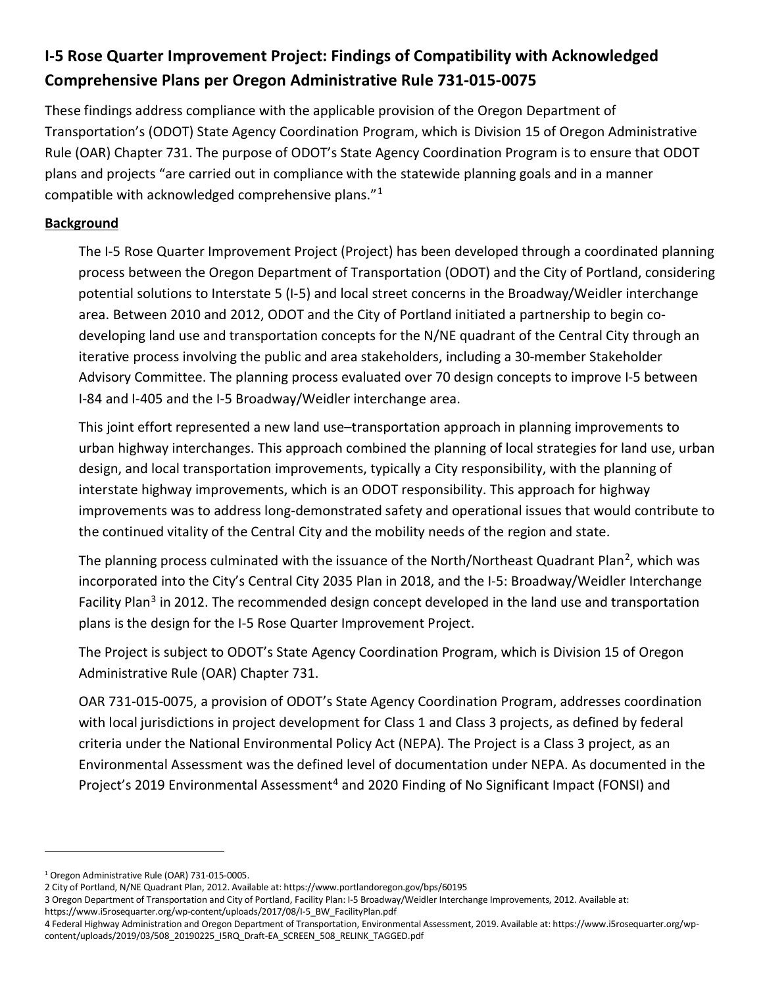# I-5 Rose Quarter Improvement Project: Findings of Compatibility with Acknowledged Comprehensive Plans per Oregon Administrative Rule 731-015-0075

These findings address compliance with the applicable provision of the Oregon Department of Transportation's (ODOT) State Agency Coordination Program, which is Division 15 of Oregon Administrative Rule (OAR) Chapter 731. The purpose of ODOT's State Agency Coordination Program is to ensure that ODOT plans and projects "are carried out in compliance with the statewide planning goals and in a manner compatible with acknowledged comprehensive plans."<sup>1</sup>

### Background

The I-5 Rose Quarter Improvement Project (Project) has been developed through a coordinated planning process between the Oregon Department of Transportation (ODOT) and the City of Portland, considering potential solutions to Interstate 5 (I-5) and local street concerns in the Broadway/Weidler interchange area. Between 2010 and 2012, ODOT and the City of Portland initiated a partnership to begin codeveloping land use and transportation concepts for the N/NE quadrant of the Central City through an iterative process involving the public and area stakeholders, including a 30-member Stakeholder Advisory Committee. The planning process evaluated over 70 design concepts to improve I-5 between I-84 and I-405 and the I-5 Broadway/Weidler interchange area.

This joint effort represented a new land use–transportation approach in planning improvements to urban highway interchanges. This approach combined the planning of local strategies for land use, urban design, and local transportation improvements, typically a City responsibility, with the planning of interstate highway improvements, which is an ODOT responsibility. This approach for highway improvements was to address long-demonstrated safety and operational issues that would contribute to the continued vitality of the Central City and the mobility needs of the region and state.

The planning process culminated with the issuance of the North/Northeast Quadrant Plan<sup>2</sup>, which was incorporated into the City's Central City 2035 Plan in 2018, and the I-5: Broadway/Weidler Interchange Facility Plan<sup>3</sup> in 2012. The recommended design concept developed in the land use and transportation plans is the design for the I-5 Rose Quarter Improvement Project.

The Project is subject to ODOT's State Agency Coordination Program, which is Division 15 of Oregon Administrative Rule (OAR) Chapter 731.

OAR 731-015-0075, a provision of ODOT's State Agency Coordination Program, addresses coordination with local jurisdictions in project development for Class 1 and Class 3 projects, as defined by federal criteria under the National Environmental Policy Act (NEPA). The Project is a Class 3 project, as an Environmental Assessment was the defined level of documentation under NEPA. As documented in the Project's 2019 Environmental Assessment<sup>4</sup> and 2020 Finding of No Significant Impact (FONSI) and

<sup>1</sup> Oregon Administrative Rule (OAR) 731-015-0005.

<sup>2</sup> City of Portland, N/NE Quadrant Plan, 2012. Available at: https://www.portlandoregon.gov/bps/60195

<sup>3</sup> Oregon Department of Transportation and City of Portland, Facility Plan: I-5 Broadway/Weidler Interchange Improvements, 2012. Available at:

https://www.i5rosequarter.org/wp-content/uploads/2017/08/I-5\_BW\_FacilityPlan.pdf

<sup>4</sup> Federal Highway Administration and Oregon Department of Transportation, Environmental Assessment, 2019. Available at: https://www.i5rosequarter.org/wpcontent/uploads/2019/03/508\_20190225\_I5RQ\_Draft-EA\_SCREEN\_508\_RELINK\_TAGGED.pdf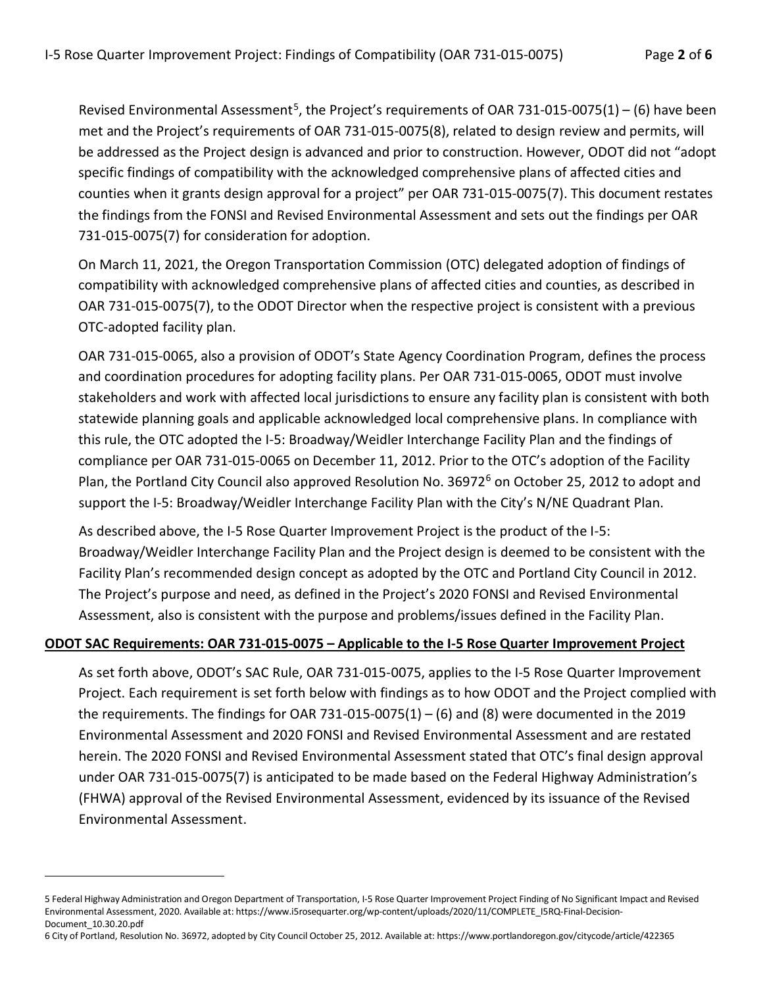Revised Environmental Assessment<sup>5</sup>, the Project's requirements of OAR 731-015-0075(1) – (6) have been met and the Project's requirements of OAR 731-015-0075(8), related to design review and permits, will be addressed as the Project design is advanced and prior to construction. However, ODOT did not "adopt specific findings of compatibility with the acknowledged comprehensive plans of affected cities and counties when it grants design approval for a project" per OAR 731-015-0075(7). This document restates the findings from the FONSI and Revised Environmental Assessment and sets out the findings per OAR 731-015-0075(7) for consideration for adoption.

On March 11, 2021, the Oregon Transportation Commission (OTC) delegated adoption of findings of compatibility with acknowledged comprehensive plans of affected cities and counties, as described in OAR 731-015-0075(7), to the ODOT Director when the respective project is consistent with a previous OTC-adopted facility plan.

OAR 731-015-0065, also a provision of ODOT's State Agency Coordination Program, defines the process and coordination procedures for adopting facility plans. Per OAR 731-015-0065, ODOT must involve stakeholders and work with affected local jurisdictions to ensure any facility plan is consistent with both statewide planning goals and applicable acknowledged local comprehensive plans. In compliance with this rule, the OTC adopted the I-5: Broadway/Weidler Interchange Facility Plan and the findings of compliance per OAR 731-015-0065 on December 11, 2012. Prior to the OTC's adoption of the Facility Plan, the Portland City Council also approved Resolution No. 36972<sup>6</sup> on October 25, 2012 to adopt and support the I-5: Broadway/Weidler Interchange Facility Plan with the City's N/NE Quadrant Plan.

As described above, the I-5 Rose Quarter Improvement Project is the product of the I-5: Broadway/Weidler Interchange Facility Plan and the Project design is deemed to be consistent with the Facility Plan's recommended design concept as adopted by the OTC and Portland City Council in 2012. The Project's purpose and need, as defined in the Project's 2020 FONSI and Revised Environmental Assessment, also is consistent with the purpose and problems/issues defined in the Facility Plan.

#### ODOT SAC Requirements: OAR 731-015-0075 – Applicable to the I-5 Rose Quarter Improvement Project

As set forth above, ODOT's SAC Rule, OAR 731-015-0075, applies to the I-5 Rose Quarter Improvement Project. Each requirement is set forth below with findings as to how ODOT and the Project complied with the requirements. The findings for OAR 731-015-0075(1) – (6) and (8) were documented in the 2019 Environmental Assessment and 2020 FONSI and Revised Environmental Assessment and are restated herein. The 2020 FONSI and Revised Environmental Assessment stated that OTC's final design approval under OAR 731-015-0075(7) is anticipated to be made based on the Federal Highway Administration's (FHWA) approval of the Revised Environmental Assessment, evidenced by its issuance of the Revised Environmental Assessment.

6 City of Portland, Resolution No. 36972, adopted by City Council October 25, 2012. Available at: https://www.portlandoregon.gov/citycode/article/422365

<sup>5</sup> Federal Highway Administration and Oregon Department of Transportation, I-5 Rose Quarter Improvement Project Finding of No Significant Impact and Revised Environmental Assessment, 2020. Available at: https://www.i5rosequarter.org/wp-content/uploads/2020/11/COMPLETE\_I5RQ-Final-Decision-Document\_10.30.20.pdf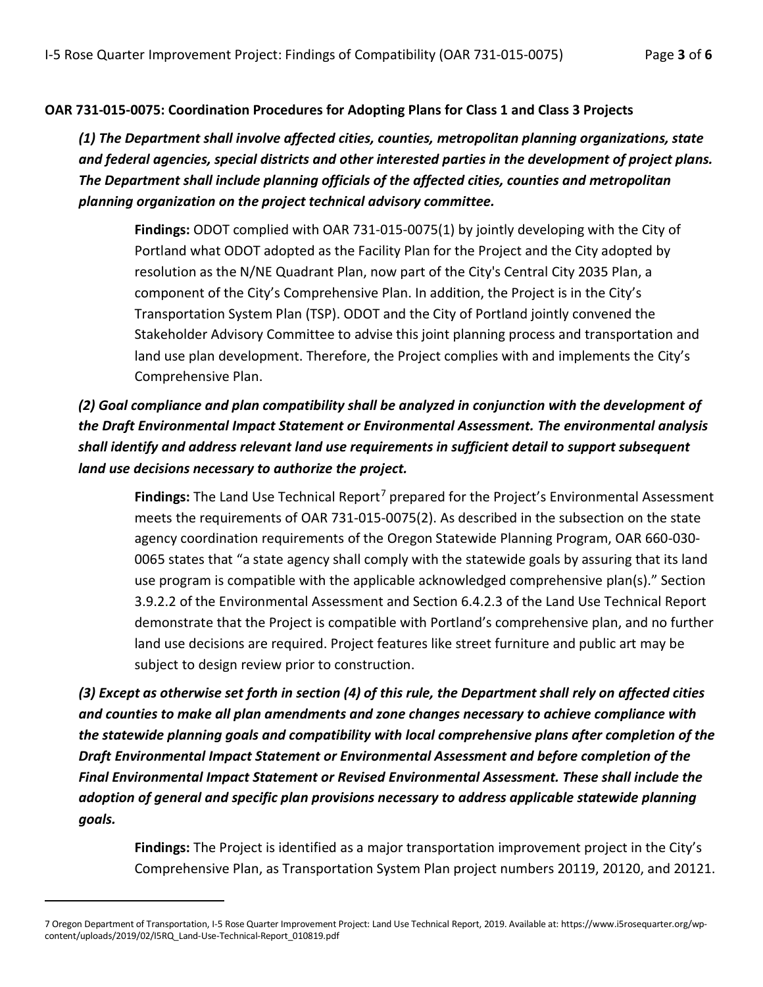### OAR 731-015-0075: Coordination Procedures for Adopting Plans for Class 1 and Class 3 Projects

(1) The Department shall involve affected cities, counties, metropolitan planning organizations, state and federal agencies, special districts and other interested parties in the development of project plans. The Department shall include planning officials of the affected cities, counties and metropolitan planning organization on the project technical advisory committee.

Findings: ODOT complied with OAR 731-015-0075(1) by jointly developing with the City of Portland what ODOT adopted as the Facility Plan for the Project and the City adopted by resolution as the N/NE Quadrant Plan, now part of the City's Central City 2035 Plan, a component of the City's Comprehensive Plan. In addition, the Project is in the City's Transportation System Plan (TSP). ODOT and the City of Portland jointly convened the Stakeholder Advisory Committee to advise this joint planning process and transportation and land use plan development. Therefore, the Project complies with and implements the City's Comprehensive Plan.

(2) Goal compliance and plan compatibility shall be analyzed in conjunction with the development of the Draft Environmental Impact Statement or Environmental Assessment. The environmental analysis shall identify and address relevant land use requirements in sufficient detail to support subsequent land use decisions necessary to authorize the project.

Findings: The Land Use Technical Report<sup>7</sup> prepared for the Project's Environmental Assessment meets the requirements of OAR 731-015-0075(2). As described in the subsection on the state agency coordination requirements of the Oregon Statewide Planning Program, OAR 660-030- 0065 states that "a state agency shall comply with the statewide goals by assuring that its land use program is compatible with the applicable acknowledged comprehensive plan(s)." Section 3.9.2.2 of the Environmental Assessment and Section 6.4.2.3 of the Land Use Technical Report demonstrate that the Project is compatible with Portland's comprehensive plan, and no further land use decisions are required. Project features like street furniture and public art may be subject to design review prior to construction.

(3) Except as otherwise set forth in section (4) of this rule, the Department shall rely on affected cities and counties to make all plan amendments and zone changes necessary to achieve compliance with the statewide planning goals and compatibility with local comprehensive plans after completion of the Draft Environmental Impact Statement or Environmental Assessment and before completion of the Final Environmental Impact Statement or Revised Environmental Assessment. These shall include the adoption of general and specific plan provisions necessary to address applicable statewide planning goals.

Findings: The Project is identified as a major transportation improvement project in the City's Comprehensive Plan, as Transportation System Plan project numbers 20119, 20120, and 20121.

<sup>7</sup> Oregon Department of Transportation, I-5 Rose Quarter Improvement Project: Land Use Technical Report, 2019. Available at: https://www.i5rosequarter.org/wpcontent/uploads/2019/02/I5RQ\_Land-Use-Technical-Report\_010819.pdf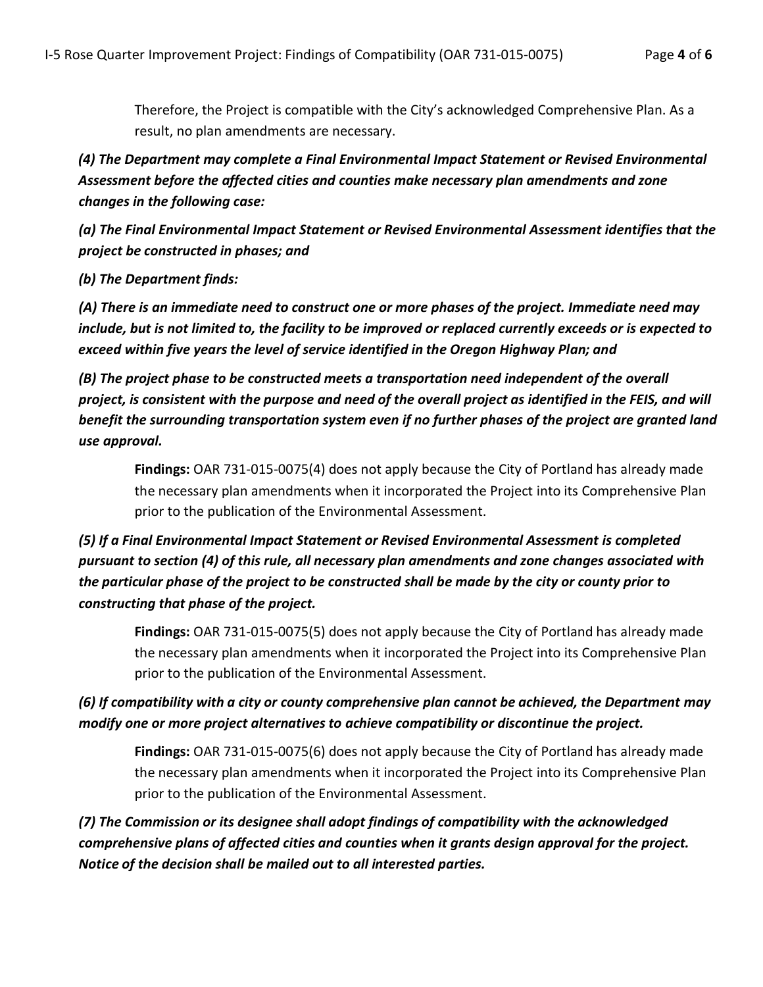Therefore, the Project is compatible with the City's acknowledged Comprehensive Plan. As a result, no plan amendments are necessary.

(4) The Department may complete a Final Environmental Impact Statement or Revised Environmental Assessment before the affected cities and counties make necessary plan amendments and zone changes in the following case:

(a) The Final Environmental Impact Statement or Revised Environmental Assessment identifies that the project be constructed in phases; and

(b) The Department finds:

(A) There is an immediate need to construct one or more phases of the project. Immediate need may include, but is not limited to, the facility to be improved or replaced currently exceeds or is expected to exceed within five years the level of service identified in the Oregon Highway Plan; and

(B) The project phase to be constructed meets a transportation need independent of the overall project, is consistent with the purpose and need of the overall project as identified in the FEIS, and will benefit the surrounding transportation system even if no further phases of the project are granted land use approval.

Findings: OAR 731-015-0075(4) does not apply because the City of Portland has already made the necessary plan amendments when it incorporated the Project into its Comprehensive Plan prior to the publication of the Environmental Assessment.

# (5) If a Final Environmental Impact Statement or Revised Environmental Assessment is completed pursuant to section (4) of this rule, all necessary plan amendments and zone changes associated with the particular phase of the project to be constructed shall be made by the city or county prior to constructing that phase of the project.

Findings: OAR 731-015-0075(5) does not apply because the City of Portland has already made the necessary plan amendments when it incorporated the Project into its Comprehensive Plan prior to the publication of the Environmental Assessment.

(6) If compatibility with a city or county comprehensive plan cannot be achieved, the Department may modify one or more project alternatives to achieve compatibility or discontinue the project.

Findings: OAR 731-015-0075(6) does not apply because the City of Portland has already made the necessary plan amendments when it incorporated the Project into its Comprehensive Plan prior to the publication of the Environmental Assessment.

(7) The Commission or its designee shall adopt findings of compatibility with the acknowledged comprehensive plans of affected cities and counties when it grants design approval for the project. Notice of the decision shall be mailed out to all interested parties.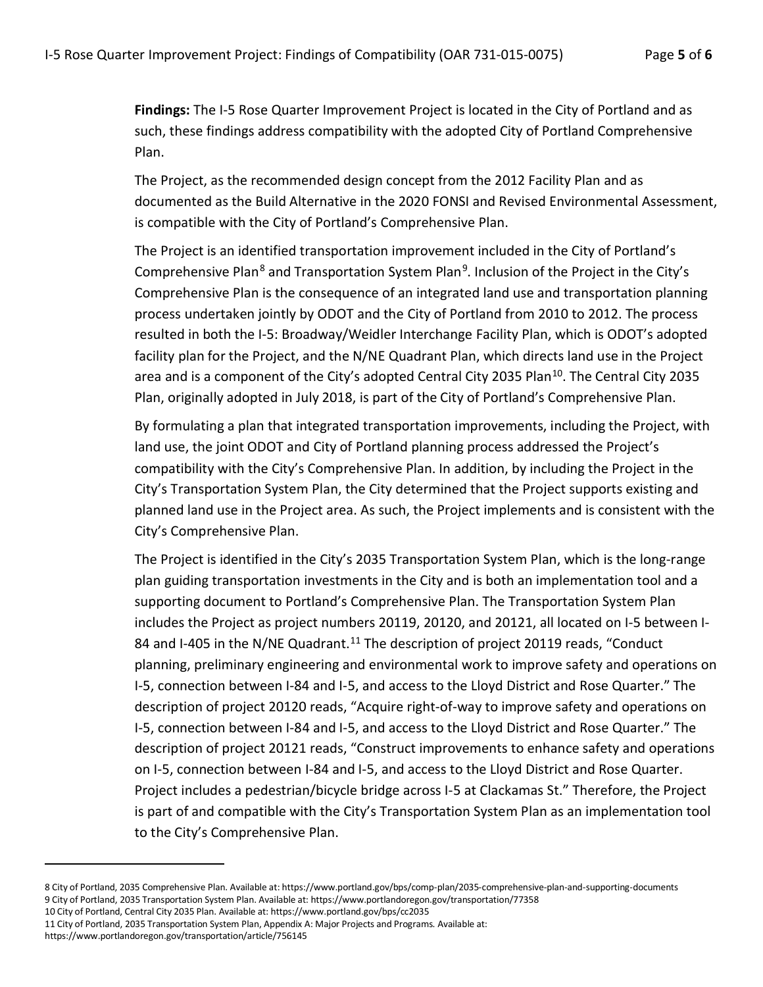Findings: The I-5 Rose Quarter Improvement Project is located in the City of Portland and as such, these findings address compatibility with the adopted City of Portland Comprehensive Plan.

The Project, as the recommended design concept from the 2012 Facility Plan and as documented as the Build Alternative in the 2020 FONSI and Revised Environmental Assessment, is compatible with the City of Portland's Comprehensive Plan.

The Project is an identified transportation improvement included in the City of Portland's Comprehensive Plan<sup>8</sup> and Transportation System Plan<sup>9</sup>. Inclusion of the Project in the City's Comprehensive Plan is the consequence of an integrated land use and transportation planning process undertaken jointly by ODOT and the City of Portland from 2010 to 2012. The process resulted in both the I-5: Broadway/Weidler Interchange Facility Plan, which is ODOT's adopted facility plan for the Project, and the N/NE Quadrant Plan, which directs land use in the Project area and is a component of the City's adopted Central City 2035 Plan<sup>10</sup>. The Central City 2035 Plan, originally adopted in July 2018, is part of the City of Portland's Comprehensive Plan.

By formulating a plan that integrated transportation improvements, including the Project, with land use, the joint ODOT and City of Portland planning process addressed the Project's compatibility with the City's Comprehensive Plan. In addition, by including the Project in the City's Transportation System Plan, the City determined that the Project supports existing and planned land use in the Project area. As such, the Project implements and is consistent with the City's Comprehensive Plan.

The Project is identified in the City's 2035 Transportation System Plan, which is the long-range plan guiding transportation investments in the City and is both an implementation tool and a supporting document to Portland's Comprehensive Plan. The Transportation System Plan includes the Project as project numbers 20119, 20120, and 20121, all located on I-5 between I-84 and I-405 in the N/NE Quadrant.<sup>11</sup> The description of project 20119 reads, "Conduct planning, preliminary engineering and environmental work to improve safety and operations on I-5, connection between I-84 and I-5, and access to the Lloyd District and Rose Quarter." The description of project 20120 reads, "Acquire right-of-way to improve safety and operations on I-5, connection between I-84 and I-5, and access to the Lloyd District and Rose Quarter." The description of project 20121 reads, "Construct improvements to enhance safety and operations on I-5, connection between I-84 and I-5, and access to the Lloyd District and Rose Quarter. Project includes a pedestrian/bicycle bridge across I-5 at Clackamas St." Therefore, the Project is part of and compatible with the City's Transportation System Plan as an implementation tool to the City's Comprehensive Plan.

<sup>8</sup> City of Portland, 2035 Comprehensive Plan. Available at: https://www.portland.gov/bps/comp-plan/2035-comprehensive-plan-and-supporting-documents 9 City of Portland, 2035 Transportation System Plan. Available at: https://www.portlandoregon.gov/transportation/77358

<sup>10</sup> City of Portland, Central City 2035 Plan. Available at: https://www.portland.gov/bps/cc2035

<sup>11</sup> City of Portland, 2035 Transportation System Plan, Appendix A: Major Projects and Programs. Available at:

https://www.portlandoregon.gov/transportation/article/756145